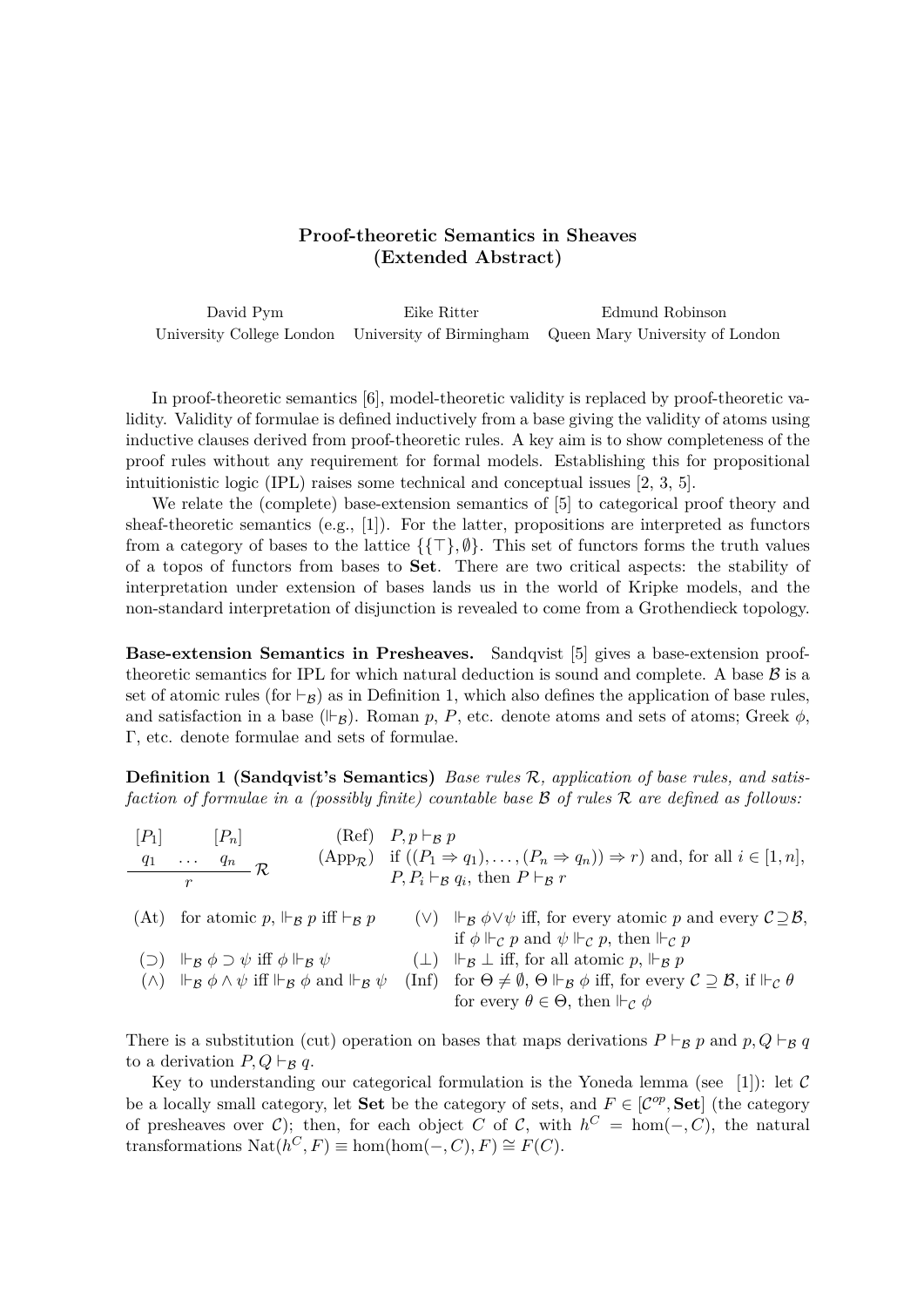## **Proof-theoretic Semantics in Sheaves (Extended Abstract)**

David Pym Eike Ritter Edmund Robinson University College London University of Birmingham Queen Mary University of London

In proof-theoretic semantics [6], model-theoretic validity is replaced by proof-theoretic validity. Validity of formulae is defined inductively from a base giving the validity of atoms using inductive clauses derived from proof-theoretic rules. A key aim is to show completeness of the proof rules without any requirement for formal models. Establishing this for propositional intuitionistic logic (IPL) raises some technical and conceptual issues [2, 3, 5].

We relate the (complete) base-extension semantics of [5] to categorical proof theory and sheaf-theoretic semantics (e.g.,  $[1]$ ). For the latter, propositions are interpreted as functors from a category of bases to the lattice  $\{\{\top\}, \emptyset\}$ . This set of functors forms the truth values of a topos of functors from bases to **Set**. There are two critical aspects: the stability of interpretation under extension of bases lands us in the world of Kripke models, and the non-standard interpretation of disjunction is revealed to come from a Grothendieck topology.

**Base-extension Semantics in Presheaves.** Sandqvist [5] gives a base-extension prooftheoretic semantics for IPL for which natural deduction is sound and complete. A base  $\beta$  is a set of atomic rules (for  $\vdash_{\mathcal{B}}$ ) as in Definition 1, which also defines the application of base rules, and satisfaction in a base  $(\vDash_{\mathcal{B}})$ . Roman *p*, *P*, etc. denote atoms and sets of atoms; Greek  $\phi$ , Γ, etc. denote formulae and sets of formulae.

**Definition 1 (Sandqvist's Semantics)** *Base rules* R*, application of base rules, and satisfaction of formulae in a (possibly finite) countable base* B *of rules* R *are defined as follows:*

| $[P_1]$ | $ P_n $                                                                                                                                                                 | $(\text{Ref})$ $P, p \vdash_{\mathcal{B}} p$ |                                                                                                                                                                                                                                                                                                                       |
|---------|-------------------------------------------------------------------------------------------------------------------------------------------------------------------------|----------------------------------------------|-----------------------------------------------------------------------------------------------------------------------------------------------------------------------------------------------------------------------------------------------------------------------------------------------------------------------|
| $q_{1}$ | $\frac{q_n}{\sqrt{R}}$<br>$\mathbf{r} \cdot \mathbf{r}$ , $\mathbf{r} \cdot \mathbf{r}$                                                                                 |                                              | $(\text{App}_{\mathcal{R}})$ if $((P_1 \Rightarrow q_1), \dots, (P_n \Rightarrow q_n)) \Rightarrow r$ and, for all $i \in [1, n]$ ,                                                                                                                                                                                   |
|         | $\boldsymbol{r}$                                                                                                                                                        |                                              | $P, P_i \vdash_{\mathcal{B}} q_i$ , then $P \vdash_{\mathcal{B}} r$                                                                                                                                                                                                                                                   |
|         | (At) for atomic p, $\Vdash_{\mathcal{B}} p$ iff $\vdash_{\mathcal{B}} p$<br>( $\supset$ ) $\vdash_{\mathcal{B}} \phi \supset \psi$ iff $\phi \Vdash_{\mathcal{B}} \psi$ |                                              | (V) $\mathbb{F}_{\mathcal{B}} \phi \vee \psi$ iff, for every atomic p and every $\mathcal{C} \supseteq \mathcal{B}$ ,<br>if $\phi \Vdash_{\mathcal{C}} p$ and $\psi \Vdash_{\mathcal{C}} p$ , then $\Vdash_{\mathcal{C}} p$<br>$(\perp)$ $\Vdash_{\mathcal{B}} \perp$ iff, for all atomic p, $\Vdash_{\mathcal{B}} p$ |
|         | $(\wedge)$ $\Vdash_{\mathcal{B}} \phi \wedge \psi$ iff $\Vdash_{\mathcal{B}} \phi$ and $\Vdash_{\mathcal{B}} \psi$                                                      | $(\text{Inf})$                               | for $\Theta \neq \emptyset$ , $\Theta \Vdash_{\mathcal{B}} \phi$ iff, for every $\mathcal{C} \supseteq \mathcal{B}$ , if $\Vdash_{\mathcal{C}} \theta$<br>for every $\theta \in \Theta$ , then $\mathbb{H}_{\mathcal{C}} \phi$                                                                                        |

There is a substitution (cut) operation on bases that maps derivations  $P \vdash_B p$  and  $p, Q \vdash_B q$ to a derivation  $P, Q \vdash_B q$ .

Key to understanding our categorical formulation is the Yoneda lemma (see [1]): let  $\mathcal C$ be a locally small category, let **Set** be the category of sets, and  $F \in [C^{op}, \mathbf{Set}]$  (the category of presheaves over C); then, for each object *C* of C, with  $h^C = \text{hom}(-, C)$ , the natural  $\text{transformations } \text{Nat}(h^C, F) \equiv \text{hom}(\text{hom}(-, C), F) \cong F(C).$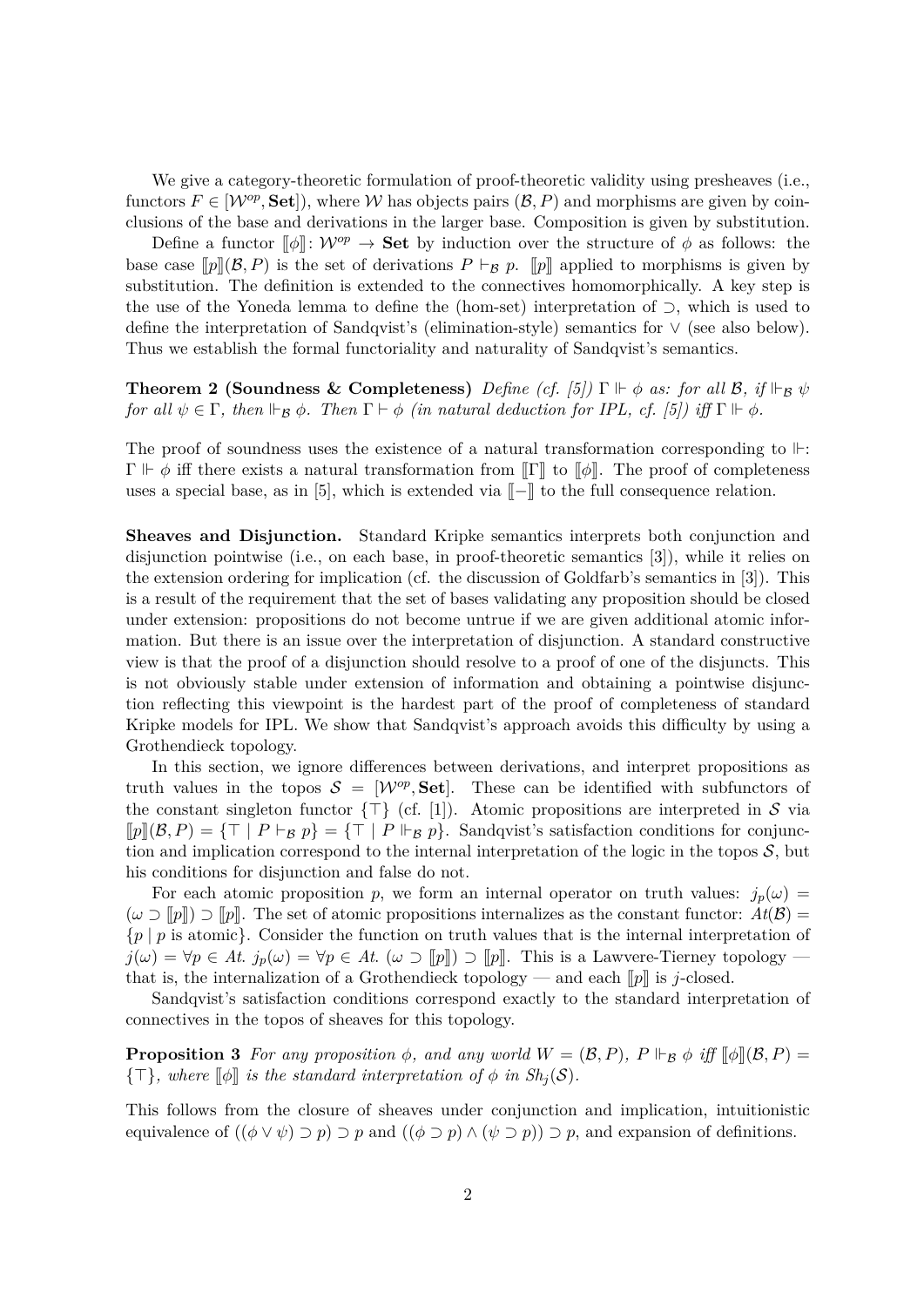We give a category-theoretic formulation of proof-theoretic validity using presheaves (i.e., functors  $F \in [W^{op}, \textbf{Set}]$ , where W has objects pairs  $(\mathcal{B}, P)$  and morphisms are given by coinclusions of the base and derivations in the larger base. Composition is given by substitution.

Define a functor  $\llbracket \phi \rrbracket$ :  $\mathcal{W}^{op} \to \mathbf{Set}$  by induction over the structure of  $\phi$  as follows: the base case  $[p](\mathcal{B}, P)$  is the set of derivations  $P \vdash_{\mathcal{B}} p$ .  $[p]$  applied to morphisms is given by substitution. The definition is extended to the connectives homomorphically. A key step is the use of the Yoneda lemma to define the (hom-set) interpretation of ⊃, which is used to define the interpretation of Sandqvist's (elimination-style) semantics for ∨ (see also below). Thus we establish the formal functoriality and naturality of Sandqvist's semantics.

**Theorem 2 (Soundness & Completeness)** *Define (cf. [5]*)  $\Gamma \Vdash \phi$  *as: for all*  $\mathcal{B}$ *, if*  $\Vdash_{\mathcal{B}} \psi$ *for all*  $\psi \in \Gamma$ *, then*  $\Vdash_{\mathcal{B}} \phi$ *. Then*  $\Gamma \vdash \phi$  *(in natural deduction for IPL, cf. [5]) iff*  $\Gamma \Vdash \phi$ *.* 

The proof of soundness uses the existence of a natural transformation corresponding to  $\mathbb{H}$ :  $\Gamma \Vdash \phi$  iff there exists a natural transformation from  $\llbracket \Gamma \rrbracket$  to  $\llbracket \phi \rrbracket$ . The proof of completeness uses a special base, as in [5], which is extended via  $\llbracket - \rrbracket$  to the full consequence relation.

**Sheaves and Disjunction.** Standard Kripke semantics interprets both conjunction and disjunction pointwise (i.e., on each base, in proof-theoretic semantics [3]), while it relies on the extension ordering for implication (cf. the discussion of Goldfarb's semantics in [3]). This is a result of the requirement that the set of bases validating any proposition should be closed under extension: propositions do not become untrue if we are given additional atomic information. But there is an issue over the interpretation of disjunction. A standard constructive view is that the proof of a disjunction should resolve to a proof of one of the disjuncts. This is not obviously stable under extension of information and obtaining a pointwise disjunction reflecting this viewpoint is the hardest part of the proof of completeness of standard Kripke models for IPL. We show that Sandqvist's approach avoids this difficulty by using a Grothendieck topology.

In this section, we ignore differences between derivations, and interpret propositions as truth values in the topos  $S = [W^{op}, \textbf{Set}]$ . These can be identified with subfunctors of the constant singleton functor  $\{\top\}$  (cf. [1]). Atomic propositions are interpreted in S via  $[p](\mathcal{B}, P) = {\top | P \vdash_R p} = {\top | P \vdash_R p}.$  Sandqvist's satisfaction conditions for conjunction and implication correspond to the internal interpretation of the logic in the topos  $S$ , but his conditions for disjunction and false do not.

For each atomic proposition *p*, we form an internal operator on truth values:  $j_p(\omega)$  =  $(\omega \supset [p]) \supset [p]$ . The set of atomic propositions internalizes as the constant functor:  $At(\mathcal{B}) =$ {*p* | *p* is atomic}. Consider the function on truth values that is the internal interpretation of  $j(\omega) = \forall p \in At$ *.*  $j_p(\omega) = \forall p \in At$ *.*  $(\omega \supset [p]) \supset [p]$ . This is a Lawvere-Tierney topology – that is, the internalization of a Grothendieck topology — and each  $[*p*]]$  is *j*-closed.

Sandqvist's satisfaction conditions correspond exactly to the standard interpretation of connectives in the topos of sheaves for this topology.

**Proposition 3** For any proposition  $\phi$ , and any world  $W = (\mathcal{B}, P)$ ,  $P \Vdash_{\mathcal{B}} \phi$  iff  $[\![\phi]\!](\mathcal{B}, P) =$  ${\{\top\}}$ *, where*  $[\![\phi]\!]$  *is the standard interpretation of*  $\phi$  *in Sh<sub>j</sub>*(S)*.* 

This follows from the closure of sheaves under conjunction and implication, intuitionistic equivalence of  $((\phi \lor \psi) \supset p) \supset p$  and  $((\phi \supset p) \land (\psi \supset p)) \supset p$ , and expansion of definitions.